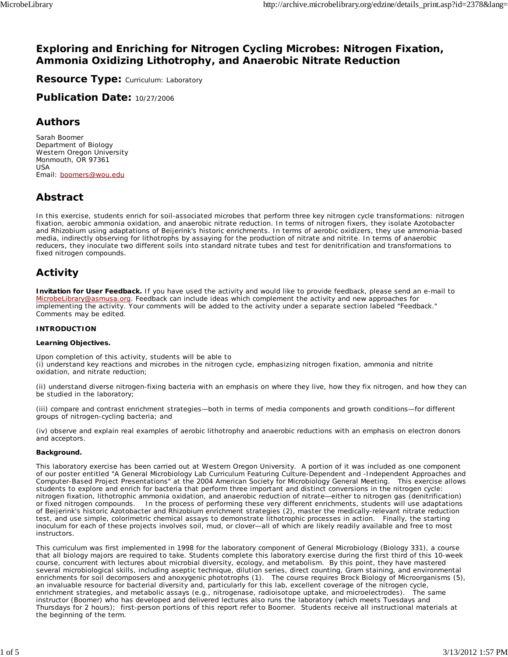### **Exploring and Enriching for Nitrogen Cycling Microbes: Nitrogen Fixation, Ammonia Oxidizing Lithotrophy, and Anaerobic Nitrate Reduction**

**Resource Type: Curriculum: Laboratory** 

**Publication Date:** 10/27/2006

### **Authors**

*Sarah Boomer* Department of Biology Western Oregon University Monmouth, OR 97361 USA Email: boomers@wou.edu

# **Abstract**

In this exercise, students enrich for soil-associated microbes that perform three key nitrogen cycle transformations: nitrogen fixation, aerobic ammonia oxidation, and anaerobic nitrate reduction. In terms of nitrogen fixers, they isolate *Azotobacter* and *Rhizobium* using adaptations of Beijerink's historic enrichments. In terms of aerobic oxidizers, they use ammonia-based media, indirectly observing for lithotrophs by assaying for the production of nitrate and nitrite. In terms of anaerobic reducers, they inoculate two different soils into standard nitrate tubes and test for denitrification and transformations to fixed nitrogen compounds.

# **Activity**

**Invitation for User Feedback.** If you have used the activity and would like to provide feedback, please send an e-mail to MicrobeLibrary@asmusa.org. Feedback can include ideas which complement the activity and new approaches for implementing the activity. Your comments will be added to the activity under a separate section labeled "Feedback." Comments may be edited.

#### **INTRODUCTION**

#### **Learning Objectives.**

Upon completion of this activity, students will be able to (i) understand key reactions and microbes in the nitrogen cycle, emphasizing nitrogen fixation, ammonia and nitrite oxidation, and nitrate reduction;

(ii) understand diverse nitrogen-fixing bacteria with an emphasis on where they live, how they fix nitrogen, and how they can be studied in the laboratory;

(iii) compare and contrast enrichment strategies—both in terms of media components and growth conditions—for different groups of nitrogen-cycling bacteria; and

(iv) observe and explain real examples of aerobic lithotrophy and anaerobic reductions with an emphasis on electron donors and acceptors.

#### **Background.**

This laboratory exercise has been carried out at Western Oregon University. A portion of it was included as one component of our poster entitled "A General Microbiology Lab Curriculum Featuring Culture-Dependent and -Independent Approaches and Computer-Based Project Presentations" at the 2004 American Society for Microbiology General Meeting. This exercise allows students to explore and enrich for bacteria that perform three important and distinct conversions in the nitrogen cycle: nitrogen fixation, lithotrophic ammonia oxidation, and anaerobic reduction of nitrate—either to nitrogen gas (denitrification) or fixed nitrogen compounds. In the process of performing these very different enrichments, students will use adaptations of Beijerink's historic *Azotobacter* and *Rhizobium* enrichment strategies (2), master the medically-relevant nitrate reduction test, and use simple, colorimetric chemical assays to demonstrate lithotrophic processes in action. Finally, the starting inoculum for each of these projects involves soil, mud, or clover—all of which are likely readily available and free to most **instructors** 

This curriculum was first implemented in 1998 for the laboratory component of General Microbiology (Biology 331), a course that all biology majors are required to take. Students complete this laboratory exercise during the first third of this 10-week course, concurrent with lectures about microbial diversity, ecology, and metabolism. By this point, they have mastered several microbiological skills, including aseptic technique, dilution series, direct counting, Gram staining, and environmental enrichments for soil decomposers and anoxygenic phototrophs (1). The course requires *Brock Biology of Microorganisms* (5), an invaluable resource for bacterial diversity and, particularly for this lab, excellent coverage of the nitrogen cycle, enrichment strategies, and metabolic assays (e.g., nitrogenase, radioisotope uptake, and microelectrodes). The same instructor (Boomer) who has developed and delivered lectures also runs the laboratory (which meets Tuesdays and Thursdays for 2 hours); first-person portions of this report refer to Boomer. Students receive all instructional materials at the beginning of the term.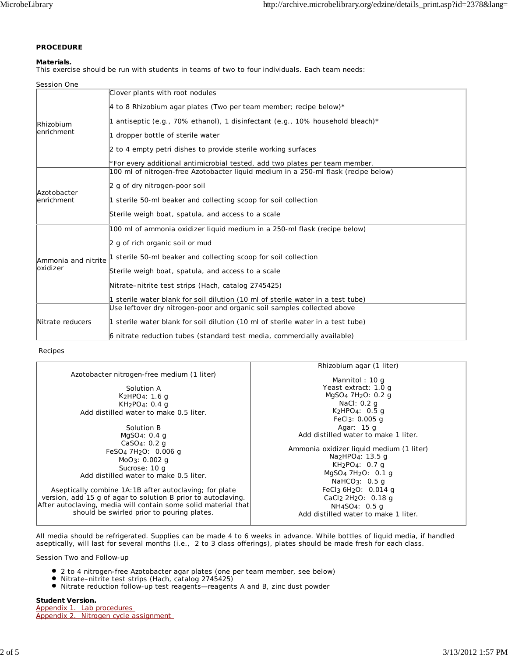### **PROCEDURE**

#### **Materials.**

This exercise should be run with students in teams of two to four individuals. Each team needs:

| Session One                     |                                                                                    |  |
|---------------------------------|------------------------------------------------------------------------------------|--|
|                                 | Clover plants with root nodules                                                    |  |
| <i>Rhizobium</i><br>lenrichment | 4 to 8 Rhizobium agar plates (Two per team member; recipe below)*                  |  |
|                                 | 1 antiseptic (e.g., 70% ethanol), 1 disinfectant (e.g., 10% household bleach)*     |  |
|                                 | 1 dropper bottle of sterile water                                                  |  |
|                                 | 2 to 4 empty petri dishes to provide sterile working surfaces                      |  |
|                                 | *For every additional antimicrobial tested, add two plates per team member.        |  |
|                                 | 100 ml of nitrogen-free Azotobacter liquid medium in a 250-ml flask (recipe below) |  |
| Azotobacter<br>lenrichment      | 2 g of dry nitrogen-poor soil                                                      |  |
|                                 | 1 sterile 50-ml beaker and collecting scoop for soil collection                    |  |
|                                 | Sterile weigh boat, spatula, and access to a scale                                 |  |
|                                 | 100 ml of ammonia oxidizer liquid medium in a 250-ml flask (recipe below)          |  |
| Ammonia and nitrite<br>oxidizer | 2 g of rich organic soil or mud                                                    |  |
|                                 | 1 sterile 50-ml beaker and collecting scoop for soil collection                    |  |
|                                 | Sterile weigh boat, spatula, and access to a scale                                 |  |
|                                 | Nitrate–nitrite test strips (Hach, catalog 2745425)                                |  |
|                                 | 1 sterile water blank for soil dilution (10 ml of sterile water in a test tube)    |  |
|                                 | Use leftover dry nitrogen-poor and organic soil samples collected above            |  |
| Nitrate reducers                | 1 sterile water blank for soil dilution (10 ml of sterile water in a test tube)    |  |
|                                 | 6 nitrate reduction tubes (standard test media, commercially available)            |  |

#### Recipes

|                                                                                                                                                                                                                                                                                                                                                                                                                                                                                                                                                                                                         | <i>Rhizobium</i> agar (1 liter)                                                                                                                                                                                                                                                                                                                                                                                                                                                                                                                                             |
|---------------------------------------------------------------------------------------------------------------------------------------------------------------------------------------------------------------------------------------------------------------------------------------------------------------------------------------------------------------------------------------------------------------------------------------------------------------------------------------------------------------------------------------------------------------------------------------------------------|-----------------------------------------------------------------------------------------------------------------------------------------------------------------------------------------------------------------------------------------------------------------------------------------------------------------------------------------------------------------------------------------------------------------------------------------------------------------------------------------------------------------------------------------------------------------------------|
| <i>Azotobacter</i> nitrogen-free medium (1 liter)<br>Solution A<br>$K_2HPO_4$ : 1.6 g<br>$KH_2PO_4$ : 0.4 g<br>Add distilled water to make 0.5 liter.<br>Solution B<br>MqSO <sub>4</sub> : 0.4 q<br>CaSO <sub>4</sub> : 0.2 g<br>FeSO <sub>4</sub> 7H <sub>2</sub> O: 0.006 g<br>$MoO_3: 0.002$ q<br>Sucrose: 10 g<br>Add distilled water to make 0.5 liter.<br>Aseptically combine 1A:1B after autoclaving; for plate<br>version, add 15 g of agar to solution B prior to autoclaving.<br>After autoclaving, media will contain some solid material that<br>should be swirled prior to pouring plates. | Mannitol: $10q$<br>Yeast extract: 1.0 g<br>MgSO <sub>4</sub> 7H <sub>2</sub> O: 0.2 g<br>NaCl: 0.2 g<br>$K_2HPO_4$ : 0.5 g<br>FeCl $_3: 0.005$ q<br>Agar: 15 g<br>Add distilled water to make 1 liter.<br>Ammonia oxidizer liquid medium (1 liter)<br>Na <sub>2</sub> HPO <sub>4</sub> : 13.5 g<br>KH <sub>2</sub> PO <sub>4</sub> : 0.7 q<br>MgSO <sub>4</sub> 7H <sub>2</sub> O: 0.1 g<br>NaHCO <sub>3</sub> : $0.5$ q<br>FeCl <sub>3</sub> $6H2O$ : 0.014 g<br>CaCl <sub>2</sub> 2H <sub>2</sub> O: 0.18 q<br>$NH_4SO_4$ : 0.5 g<br>Add distilled water to make 1 liter. |
|                                                                                                                                                                                                                                                                                                                                                                                                                                                                                                                                                                                                         |                                                                                                                                                                                                                                                                                                                                                                                                                                                                                                                                                                             |

All media should be refrigerated. Supplies can be made 4 to 6 weeks in advance. While bottles of liquid media, if handled aseptically, will last for several months (i.e., 2 to 3 class offerings), plates should be made fresh for each class.

Session Two and Follow-up

- 2 to 4 nitrogen-free *Azotobacter* agar plates (one per team member, see below)
- Nitrate–nitrite test strips (Hach, catalog 2745425)
- Nitrate reduction follow-up test reagents—reagents A and B, zinc dust powder

**Student Version.**

Appendix 1. Lab procedures Appendix 2. Nitrogen cycle assignment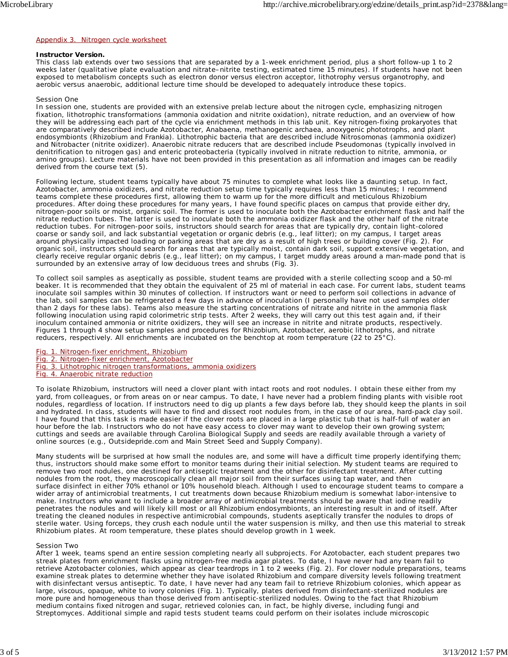#### Appendix 3. Nitrogen cycle worksheet

#### **Instructor Version.**

This class lab extends over two sessions that are separated by a 1-week enrichment period, plus a short follow-up 1 to 2 weeks later (qualitative plate evaluation and nitrate–nitrite testing, estimated time 15 minutes). If students have not been exposed to metabolism concepts such as electron donor versus electron acceptor, lithotrophy versus organotrophy, and aerobic versus anaerobic, additional lecture time should be developed to adequately introduce these topics.

#### Session One

In session one, students are provided with an extensive prelab lecture about the nitrogen cycle, emphasizing nitrogen fixation, lithotrophic transformations (ammonia oxidation and nitrite oxidation), nitrate reduction, and an overview of how they will be addressing each part of the cycle via enrichment methods in this lab unit. Key nitrogen-fixing prokaryotes that are comparatively described include *Azotobacter, Anabaena*, methanogenic archaea, anoxygenic phototrophs, and plant endosymbionts (*Rhizobium* and *Frankia*). Lithotrophic bacteria that are described include *Nitrosomonas* (ammonia oxidizer) and *Nitrobacter* (nitrite oxidizer). Anaerobic nitrate reducers that are described include *Pseudomonas* (typically involved in denitrification to nitrogen gas) and enteric proteobacteria (typically involved in nitrate reduction to nitrite, ammonia, or amino groups). Lecture materials have not been provided in this presentation as all information and images can be readily derived from the course text (5).

Following lecture, student teams typically have about 75 minutes to complete what looks like a daunting setup. In fact, *Azotobacter*, ammonia oxidizers, and nitrate reduction setup time typically requires less than 15 minutes; I recommend teams complete these procedures first, allowing them to warm up for the more difficult and meticulous *Rhizobium* procedures. After doing these procedures for many years, I have found specific places on campus that provide either dry, nitrogen-poor soils or moist, organic soil. The former is used to inoculate both the *Azotobacter* enrichment flask and half the nitrate reduction tubes. The latter is used to inoculate both the ammonia oxidizer flask and the other half of the nitrate reduction tubes. For nitrogen-poor soils, instructors should search for areas that are typically dry, contain light-colored coarse or sandy soil, and lack substantial vegetation or organic debris (e.g., leaf litter); on my campus, I target areas around physically impacted loading or parking areas that are dry as a result of high trees or building cover (Fig. 2). For organic soil, instructors should search for areas that are typically moist, contain dark soil, support extensive vegetation, and clearly receive regular organic debris (e.g., leaf litter); on my campus, I target muddy areas around a man-made pond that is surrounded by an extensive array of low deciduous trees and shrubs (Fig. 3).

To collect soil samples as aseptically as possible, student teams are provided with a sterile collecting scoop and a 50-ml beaker. It is recommended that they obtain the equivalent of 25 ml of material in each case. For current labs, student teams inoculate soil samples within 30 minutes of collection. If instructors want or need to perform soil collections in advance of the lab, soil samples can be refrigerated a few days in advance of inoculation (I personally have not used samples older than 2 days for these labs). Teams also measure the starting concentrations of nitrate and nitrite in the ammonia flask following inoculation using rapid colorimetric strip tests. After 2 weeks, they will carry out this test again and, if their inoculum contained ammonia or nitrite oxidizers, they will see an increase in nitrite and nitrate products, respectively. Figures 1 through 4 show setup samples and procedures for *Rhizobium*, *Azotobacter*, aerobic lithotrophs, and nitrate reducers, respectively. All enrichments are incubated on the benchtop at room temperature (22 to 25°C).

- Fig. 1. Nitrogen-fixer enrichment, *Rhizobium*
- Fig. 2. Nitrogen-fixer enrichment, *Azotobacter*
- Fig. 3. Lithotrophic nitrogen transformations, ammonia oxidizers
- Fig. 4. Anaerobic nitrate reduction

To isolate *Rhizobium*, instructors will need a clover plant with intact roots and root nodules. I obtain these either from my yard, from colleagues, or from areas on or near campus. To date, I have never had a problem finding plants with visible root nodules, regardless of location. If instructors need to dig up plants a few days before lab, they should keep the plants in soil and hydrated. In class, students will have to find and dissect root nodules from, in the case of our area, hard-pack clay soil. I have found that this task is made easier if the clover roots are placed in a large plastic tub that is half-full of water an hour before the lab. Instructors who do not have easy access to clover may want to develop their own growing system; cuttings and seeds are available through Carolina Biological Supply and seeds are readily available through a variety of online sources (e.g., Outsidepride.com and Main Street Seed and Supply Company).

Many students will be surprised at how small the nodules are, and some will have a difficult time properly identifying them; thus, instructors should make some effort to monitor teams during their initial selection. My student teams are required to remove two root nodules, one destined for antiseptic treatment and the other for disinfectant treatment. After cutting nodules from the root, they macroscopically clean all major soil from their surfaces using tap water, and then surface disinfect in either 70% ethanol or 10% household bleach. Although I used to encourage student teams to compare a wider array of antimicrobial treatments, I cut treatments down because *Rhizobium* medium is somewhat labor-intensive to make. Instructors who want to include a broader array of antimicrobial treatments should be aware that iodine readily penetrates the nodules and will likely kill most or all *Rhizobium* endosymbionts, an interesting result in and of itself. After treating the cleaned nodules in respective antimicrobial compounds, students aseptically transfer the nodules to drops of sterile water. Using forceps, they crush each nodule until the water suspension is milky, and then use this material to streak *Rhizobium* plates. At room temperature, these plates should develop growth in 1 week.

#### Session Two

After 1 week, teams spend an entire session completing nearly all subprojects. For *Azotobacter*, each student prepares two streak plates from enrichment flasks using nitrogen-free media agar plates. To date, I have never had any team fail to retrieve *Azotobacter* colonies, which appear as clear teardrops in 1 to 2 weeks (Fig. 2). For clover nodule preparations, teams examine streak plates to determine whether they have isolated *Rhizobium* and compare diversity levels following treatment with disinfectant versus antiseptic. To date, I have never had any team fail to retrieve *Rhizobium* colonies, which appear as large, viscous, opaque, white to ivory colonies (Fig. 1). Typically, plates derived from disinfectant-sterilized nodules are more pure and homogeneous than those derived from antiseptic-sterilized nodules. Owing to the fact that *Rhizobium* medium contains fixed nitrogen and sugar, retrieved colonies can, in fact, be highly diverse, including fungi and *Streptomyces*. Additional simple and rapid tests student teams could perform on their isolates include microscopic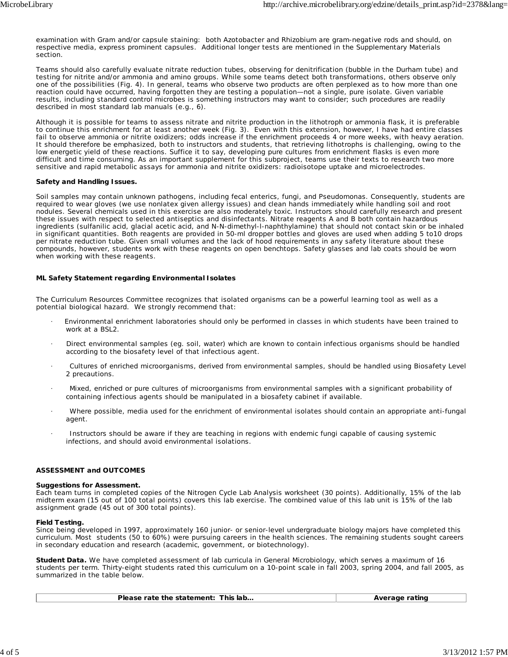examination with Gram and/or capsule staining: both *Azotobacter* and *Rhizobium* are gram-negative rods and should, on respective media, express prominent capsules. Additional longer tests are mentioned in the Supplementary Materials section.

Teams should also carefully evaluate nitrate reduction tubes, observing for denitrification (bubble in the Durham tube) and testing for nitrite and/or ammonia and amino groups. While some teams detect both transformations, others observe only one of the possibilities (Fig. 4). In general, teams who observe two products are often perplexed as to how more than one reaction could have occurred, having forgotten they are testing a population—not a single, pure isolate. Given variable results, including standard control microbes is something instructors may want to consider; such procedures are readily described in most standard lab manuals (e.g., 6).

Although it is possible for teams to assess nitrate and nitrite production in the lithotroph or ammonia flask, it is preferable to continue this enrichment for at least another week (Fig. 3). Even with this extension, however, I have had entire classes fail to observe ammonia or nitrite oxidizers; odds increase if the enrichment proceeds 4 or more weeks, with heavy aeration. It should therefore be emphasized, both to instructors and students, that retrieving lithotrophs is challenging, owing to the low energetic yield of these reactions. Suffice it to say, developing pure cultures from enrichment flasks is even more difficult and time consuming. As an important supplement for this subproject, teams use their texts to research two more sensitive and rapid metabolic assays for ammonia and nitrite oxidizers: radioisotope uptake and microelectrodes.

#### **Safety and Handling Issues.**

Soil samples may contain unknown pathogens, including fecal enterics, fungi, and *Pseudomonas*. Consequently, students are required to wear gloves (we use nonlatex given allergy issues) and clean hands immediately while handling soil and root nodules. Several chemicals used in this exercise are also moderately toxic. Instructors should carefully research and present these issues with respect to selected antiseptics and disinfectants. Nitrate reagents A and B both contain hazardous ingredients (sulfanilic acid, glacial acetic acid, and N-N-dimethyl-l-naphthylamine) that should not contact skin or be inhaled in significant quantities. Both reagents are provided in 50-ml dropper bottles and gloves are used when adding 5 to10 drops per nitrate reduction tube. Given small volumes and the lack of hood requirements in any safety literature about these compounds, however, students work with these reagents on open benchtops. Safety glasses and lab coats should be worn when working with these reagents.

#### **ML Safety Statement regarding Environmental Isolates**

The Curriculum Resources Committee recognizes that isolated organisms can be a powerful learning tool as well as a potential biological hazard. We strongly recommend that:

- · Environmental enrichment laboratories should only be performed in classes in which students have been trained to work at a BSL2.
- · Direct environmental samples (eg. soil, water) which are known to contain infectious organisms should be handled according to the biosafety level of that infectious agent.
- · Cultures of enriched microorganisms, derived from environmental samples, should be handled using Biosafety Level 2 precautions.
- · Mixed, enriched or pure cultures of microorganisms from environmental samples with a significant probability of containing infectious agents should be manipulated in a biosafety cabinet if available.
- · Where possible, media used for the enrichment of environmental isolates should contain an appropriate anti-fungal agent.
- Instructors should be aware if they are teaching in regions with endemic fungi capable of causing systemic infections, and should avoid environmental isolations.

#### **ASSESSMENT and OUTCOMES**

#### **Suggestions for Assessment.**

Each team turns in completed copies of the Nitrogen Cycle Lab Analysis worksheet (30 points). Additionally, 15% of the lab midterm exam (15 out of 100 total points) covers this lab exercise. The combined value of this lab unit is 15% of the lab assignment grade (45 out of 300 total points).

#### **Field Testing.**

Since being developed in 1997, approximately 160 junior- or senior-level undergraduate biology majors have completed this curriculum. Most students (50 to 60%) were pursuing careers in the health sciences. The remaining students sought careers in secondary education and research (academic, government, or biotechnology).

**Student Data.** We have completed assessment of lab curricula in General Microbiology, which serves a maximum of 16 students per term. Thirty-eight students rated this curriculum on a 10-point scale in fall 2003, spring 2004, and fall 2005, as summarized in the table below.

| Please rate the statement: This lab | Average rating |
|-------------------------------------|----------------|
|                                     |                |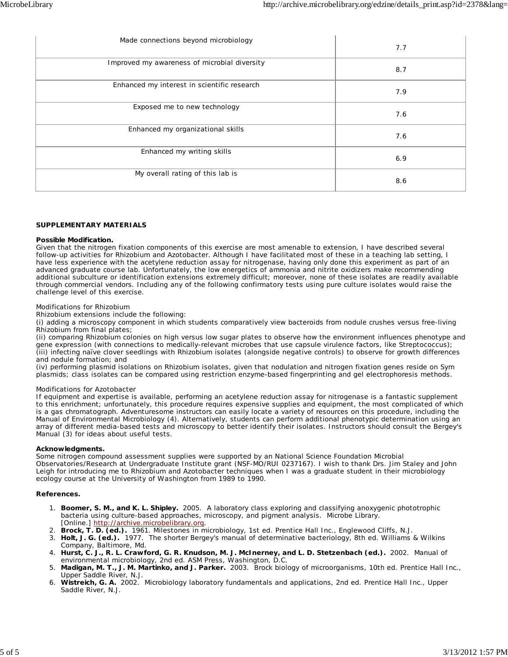| Made connections beyond microbiology         | 7.7 |
|----------------------------------------------|-----|
| Improved my awareness of microbial diversity | 8.7 |
| Enhanced my interest in scientific research  | 7.9 |
| Exposed me to new technology                 | 7.6 |
| Enhanced my organizational skills            | 7.6 |
| Enhanced my writing skills                   | 6.9 |
| My overall rating of this lab is             | 8.6 |

#### **SUPPLEMENTARY MATERIALS**

#### **Possible Modification.**

Given that the nitrogen fixation components of this exercise are most amenable to extension, I have described several follow-up activities for *Rhizobium* and *Azotobacter*. Although I have facilitated most of these in a teaching lab setting, I have less experience with the acetylene reduction assay for nitrogenase, having only done this experiment as part of an advanced graduate course lab. Unfortunately, the low energetics of ammonia and nitrite oxidizers make recommending additional subculture or identification extensions extremely difficult; moreover, none of these isolates are readily available through commercial vendors. Including any of the following confirmatory tests using pure culture isolates would raise the challenge level of this exercise.

#### Modifications for *Rhizobium*

*Rhizobium* extensions include the following:

(i) adding a microscopy component in which students comparatively view bacteroids from nodule crushes versus free-living *Rhizobium* from final plates;

(ii) comparing *Rhizobium* colonies on high versus low sugar plates to observe how the environment influences phenotype and gene expression (with connections to medically-relevant microbes that use capsule virulence factors, like *Streptococcus*); (iii) infecting naïve clover seedlings with *Rhizobium* isolates (alongside negative controls) to observe for growth differences and nodule formation; and

(iv) performing plasmid isolations on *Rhizobium* isolates, given that nodulation and nitrogen fixation genes reside on Sym plasmids; class isolates can be compared using restriction enzyme-based fingerprinting and gel electrophoresis methods.

#### Modifications for *Azotobacter*

If equipment and expertise is available, performing an acetylene reduction assay for nitrogenase is a fantastic supplement to this enrichment; unfortunately, this procedure requires expensive supplies and equipment, the most complicated of which is a gas chromatograph. Adventuresome instructors can easily locate a variety of resources on this procedure, including the Manual of Environmental Microbiology (4). Alternatively, students can perform additional phenotypic determination using an array of different media-based tests and microscopy to better identify their isolates. Instructors should consult the Bergey's Manual (3) for ideas about useful tests.

#### **Acknowledgments.**

Some nitrogen compound assessment supplies were supported by an National Science Foundation Microbial Observatories/Research at Undergraduate Institute grant (NSF-MO/RUI 0237167). I wish to thank Drs. Jim Staley and John Leigh for introducing me to *Rhizobium* and *Azotobacter* techniques when I was a graduate student in their microbiology ecology course at the University of Washington from 1989 to 1990.

#### **References.**

- **Boomer, S. M., and K. L. Shipley.** 2005. A laboratory class exploring and classifying anoxygenic phototrophic 1. bacteria using culture-based approaches, microscopy, and pigment analysis. Microbe Library. [Online.] http://archive.microbelibrary.org.
- 2. **Brock, T. D. (ed.).** 1961. Milestones in microbiology, 1st ed. Prentice Hall Inc., Englewood Cliffs, N.J.
- **Holt, J. G. (ed.).** 1977. The shorter Bergey's manual of determinative bacteriology, 8th ed. Williams & Wilkins 3. Company, Baltimore, Md.
- 4. Hurst, C. J., R. L. Crawford, G. R. Knudson, M. J. McInerney, and L. D. Stetzenbach (ed.). 2002. Manual of environmental microbiology, 2nd ed. ASM Press, Washington, D.C.
- **Madigan, M. T., J. M. Martinko, and J. Parker.** 2003. Brock biology of microorganisms, 10th ed. Prentice Hall Inc., 5. Upper Saddle River, N.J.
- **Wistreich, G. A.** 2002. Microbiology laboratory fundamentals and applications, 2nd ed. Prentice Hall Inc., Upper 6. Saddle River, N.J.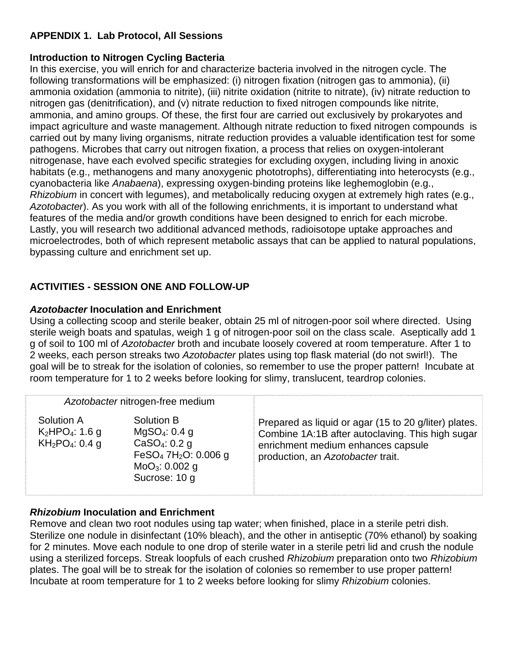# **APPENDIX 1. Lab Protocol, All Sessions**

# **Introduction to Nitrogen Cycling Bacteria**

In this exercise, you will enrich for and characterize bacteria involved in the nitrogen cycle. The following transformations will be emphasized: (i) nitrogen fixation (nitrogen gas to ammonia), (ii) ammonia oxidation (ammonia to nitrite), (iii) nitrite oxidation (nitrite to nitrate), (iv) nitrate reduction to nitrogen gas (denitrification), and (v) nitrate reduction to fixed nitrogen compounds like nitrite, ammonia, and amino groups. Of these, the first four are carried out exclusively by prokaryotes and impact agriculture and waste management. Although nitrate reduction to fixed nitrogen compounds is carried out by many living organisms, nitrate reduction provides a valuable identification test for some pathogens. Microbes that carry out nitrogen fixation, a process that relies on oxygen-intolerant nitrogenase, have each evolved specific strategies for excluding oxygen, including living in anoxic habitats (e.g., methanogens and many anoxygenic phototrophs), differentiating into heterocysts (e.g., cyanobacteria like *Anabaena*), expressing oxygen-binding proteins like leghemoglobin (e.g., *Rhizobium* in concert with legumes), and metabolically reducing oxygen at extremely high rates (e.g., *Azotobacter*). As you work with all of the following enrichments, it is important to understand what features of the media and/or growth conditions have been designed to enrich for each microbe. Lastly, you will research two additional advanced methods, radioisotope uptake approaches and microelectrodes, both of which represent metabolic assays that can be applied to natural populations, bypassing culture and enrichment set up.

# **ACTIVITIES - SESSION ONE AND FOLLOW-UP**

# *Azotobacter* **Inoculation and Enrichment**

Using a collecting scoop and sterile beaker, obtain 25 ml of nitrogen-poor soil where directed. Using sterile weigh boats and spatulas, weigh 1 g of nitrogen-poor soil on the class scale. Aseptically add 1 g of soil to 100 ml of *Azotobacter* broth and incubate loosely covered at room temperature. After 1 to 2 weeks, each person streaks two *Azotobacter* plates using top flask material (do not swirl!). The goal will be to streak for the isolation of colonies, so remember to use the proper pattern! Incubate at room temperature for 1 to 2 weeks before looking for slimy, translucent, teardrop colonies.

|                                                                             | Azotobacter nitrogen-free medium                                                                                                                                    |                                                                                                                                                                                      |
|-----------------------------------------------------------------------------|---------------------------------------------------------------------------------------------------------------------------------------------------------------------|--------------------------------------------------------------------------------------------------------------------------------------------------------------------------------------|
| Solution A<br>$K_2HPO_4$ : 1.6 g<br>KH <sub>2</sub> PO <sub>4</sub> : 0.4 g | Solution B<br>MqSO <sub>4</sub> : 0.4 g<br>CaSO <sub>4</sub> : 0.2 g<br>FeSO <sub>4</sub> 7H <sub>2</sub> O: 0.006 g<br>MoO <sub>3</sub> : 0.002 g<br>Sucrose: 10 g | Prepared as liquid or agar (15 to 20 g/liter) plates.<br>Combine 1A:1B after autoclaving. This high sugar<br>enrichment medium enhances capsule<br>production, an Azotobacter trait. |

# *Rhizobium* **Inoculation and Enrichment**

Remove and clean two root nodules using tap water; when finished, place in a sterile petri dish. Sterilize one nodule in disinfectant (10% bleach), and the other in antiseptic (70% ethanol) by soaking for 2 minutes. Move each nodule to one drop of sterile water in a sterile petri lid and crush the nodule using a sterilized forceps. Streak loopfuls of each crushed *Rhizobium* preparation onto two *Rhizobium*  plates. The goal will be to streak for the isolation of colonies so remember to use proper pattern! Incubate at room temperature for 1 to 2 weeks before looking for slimy *Rhizobium* colonies.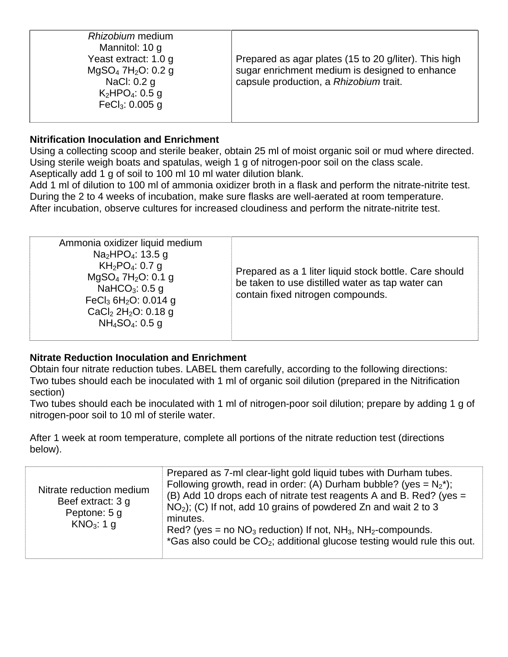| Rhizobium medium<br>Mannitol: 10 g<br>Yeast extract: 1.0 g<br>$MgSO_4$ 7H <sub>2</sub> O: 0.2 g<br>NaCl: 0.2 g<br>$K_2HPO_4$ : 0.5 g<br>FeC $I_3$ : 0.005 g | Prepared as agar plates (15 to 20 g/liter). This high<br>sugar enrichment medium is designed to enhance<br>capsule production, a Rhizobium trait. |
|-------------------------------------------------------------------------------------------------------------------------------------------------------------|---------------------------------------------------------------------------------------------------------------------------------------------------|
|-------------------------------------------------------------------------------------------------------------------------------------------------------------|---------------------------------------------------------------------------------------------------------------------------------------------------|

# **Nitrification Inoculation and Enrichment**

Using a collecting scoop and sterile beaker, obtain 25 ml of moist organic soil or mud where directed. Using sterile weigh boats and spatulas, weigh 1 g of nitrogen-poor soil on the class scale. Aseptically add 1 g of soil to 100 ml 10 ml water dilution blank.

Add 1 ml of dilution to 100 ml of ammonia oxidizer broth in a flask and perform the nitrate-nitrite test. During the 2 to 4 weeks of incubation, make sure flasks are well-aerated at room temperature. After incubation, observe cultures for increased cloudiness and perform the nitrate-nitrite test.

| Ammonia oxidizer liquid medium<br>Na <sub>2</sub> HPO <sub>4</sub> : 13.5 g<br>$KH_2PO_4$ : 0.7 g<br>$MgSO_4$ 7H <sub>2</sub> O: 0.1 g<br>NaHCO <sub>3</sub> : $0.5$ g<br>FeCl <sub>3</sub> 6H <sub>2</sub> O: 0.014 g<br>CaCl <sub>2</sub> 2H <sub>2</sub> O: 0.18 g<br>$NH_4SO_4$ : 0.5 g | Prepared as a 1 liter liquid stock bottle. Care should<br>be taken to use distilled water as tap water can<br>contain fixed nitrogen compounds. |
|---------------------------------------------------------------------------------------------------------------------------------------------------------------------------------------------------------------------------------------------------------------------------------------------|-------------------------------------------------------------------------------------------------------------------------------------------------|
|---------------------------------------------------------------------------------------------------------------------------------------------------------------------------------------------------------------------------------------------------------------------------------------------|-------------------------------------------------------------------------------------------------------------------------------------------------|

### **Nitrate Reduction Inoculation and Enrichment**

Obtain four nitrate reduction tubes. LABEL them carefully, according to the following directions: Two tubes should each be inoculated with 1 ml of organic soil dilution (prepared in the Nitrification section)

Two tubes should each be inoculated with 1 ml of nitrogen-poor soil dilution; prepare by adding 1 g of nitrogen-poor soil to 10 ml of sterile water.

After 1 week at room temperature, complete all portions of the nitrate reduction test (directions below).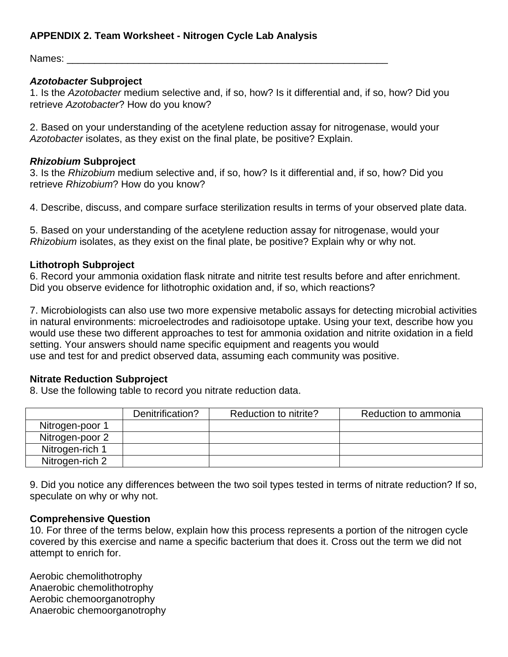# **APPENDIX 2. Team Worksheet - Nitrogen Cycle Lab Analysis**

Names:

# *Azotobacter* **Subproject**

1. Is the *Azotobacter* medium selective and, if so, how? Is it differential and, if so, how? Did you retrieve *Azotobacter*? How do you know?

2. Based on your understanding of the acetylene reduction assay for nitrogenase, would your *Azotobacter* isolates, as they exist on the final plate, be positive? Explain.

### *Rhizobium* **Subproject**

3. Is the *Rhizobium* medium selective and, if so, how? Is it differential and, if so, how? Did you retrieve *Rhizobium*? How do you know?

4. Describe, discuss, and compare surface sterilization results in terms of your observed plate data.

5. Based on your understanding of the acetylene reduction assay for nitrogenase, would your *Rhizobium* isolates, as they exist on the final plate, be positive? Explain why or why not.

# **Lithotroph Subproject**

6. Record your ammonia oxidation flask nitrate and nitrite test results before and after enrichment. Did you observe evidence for lithotrophic oxidation and, if so, which reactions?

7. Microbiologists can also use two more expensive metabolic assays for detecting microbial activities in natural environments: microelectrodes and radioisotope uptake. Using your text, describe how you would use these two different approaches to test for ammonia oxidation and nitrite oxidation in a field setting. Your answers should name specific equipment and reagents you would use and test for and predict observed data, assuming each community was positive.

### **Nitrate Reduction Subproject**

8. Use the following table to record you nitrate reduction data.

|                 | Denitrification? | Reduction to nitrite? | Reduction to ammonia |
|-----------------|------------------|-----------------------|----------------------|
| Nitrogen-poor 1 |                  |                       |                      |
| Nitrogen-poor 2 |                  |                       |                      |
| Nitrogen-rich 1 |                  |                       |                      |
| Nitrogen-rich 2 |                  |                       |                      |

9. Did you notice any differences between the two soil types tested in terms of nitrate reduction? If so, speculate on why or why not.

### **Comprehensive Question**

10. For three of the terms below, explain how this process represents a portion of the nitrogen cycle covered by this exercise and name a specific bacterium that does it. Cross out the term we did not attempt to enrich for.

Aerobic chemolithotrophy Anaerobic chemolithotrophy Aerobic chemoorganotrophy Anaerobic chemoorganotrophy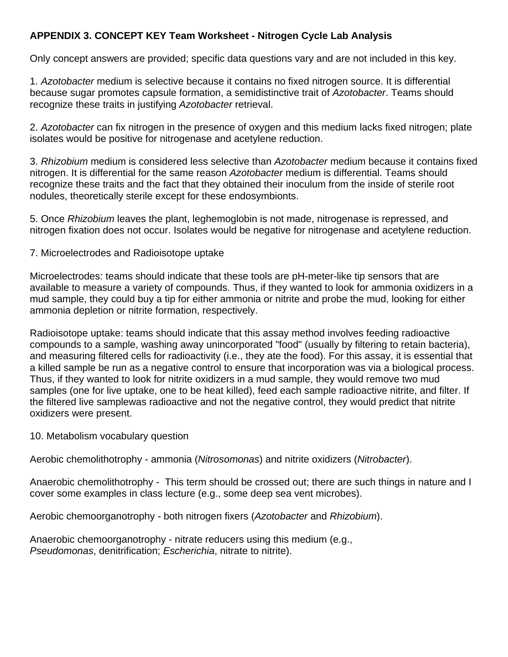# **APPENDIX 3. CONCEPT KEY Team Worksheet - Nitrogen Cycle Lab Analysis**

Only concept answers are provided; specific data questions vary and are not included in this key.

1. *Azotobacter* medium is selective because it contains no fixed nitrogen source. It is differential because sugar promotes capsule formation, a semidistinctive trait of *Azotobacter*. Teams should recognize these traits in justifying *Azotobacter* retrieval.

2. *Azotobacter* can fix nitrogen in the presence of oxygen and this medium lacks fixed nitrogen; plate isolates would be positive for nitrogenase and acetylene reduction.

3. *Rhizobium* medium is considered less selective than *Azotobacter* medium because it contains fixed nitrogen. It is differential for the same reason *Azotobacter* medium is differential. Teams should recognize these traits and the fact that they obtained their inoculum from the inside of sterile root nodules, theoretically sterile except for these endosymbionts.

5. Once *Rhizobium* leaves the plant, leghemoglobin is not made, nitrogenase is repressed, and nitrogen fixation does not occur. Isolates would be negative for nitrogenase and acetylene reduction.

# 7. Microelectrodes and Radioisotope uptake

Microelectrodes: teams should indicate that these tools are pH-meter-like tip sensors that are available to measure a variety of compounds. Thus, if they wanted to look for ammonia oxidizers in a mud sample, they could buy a tip for either ammonia or nitrite and probe the mud, looking for either ammonia depletion or nitrite formation, respectively.

Radioisotope uptake: teams should indicate that this assay method involves feeding radioactive compounds to a sample, washing away unincorporated "food" (usually by filtering to retain bacteria), and measuring filtered cells for radioactivity (i.e., they ate the food). For this assay, it is essential that a killed sample be run as a negative control to ensure that incorporation was via a biological process. Thus, if they wanted to look for nitrite oxidizers in a mud sample, they would remove two mud samples (one for live uptake, one to be heat killed), feed each sample radioactive nitrite, and filter. If the filtered live samplewas radioactive and not the negative control, they would predict that nitrite oxidizers were present.

### 10. Metabolism vocabulary question

Aerobic chemolithotrophy - ammonia (*Nitrosomonas*) and nitrite oxidizers (*Nitrobacter*).

Anaerobic chemolithotrophy - This term should be crossed out; there are such things in nature and I cover some examples in class lecture (e.g., some deep sea vent microbes).

Aerobic chemoorganotrophy - both nitrogen fixers (*Azotobacter* and *Rhizobium*).

Anaerobic chemoorganotrophy - nitrate reducers using this medium (e.g., *Pseudomonas*, denitrification; *Escherichia*, nitrate to nitrite).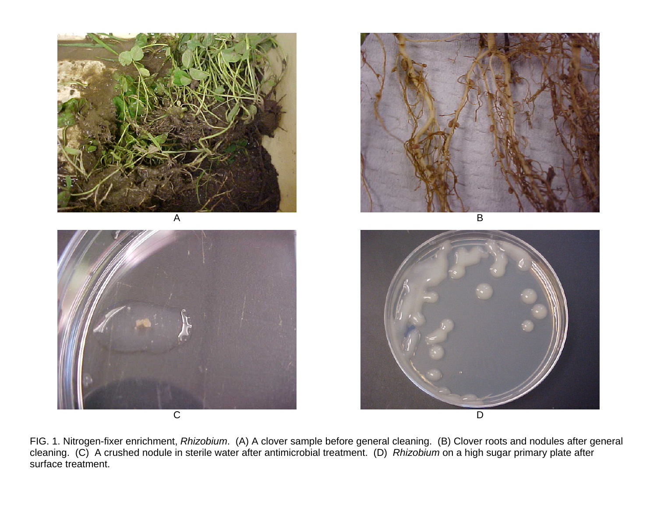









FIG. 1. Nitrogen-fixer enrichment, *Rhizobium*. (A) A clover sample before general cleaning. (B) Clover roots and nodules after general cleaning. (C) A crushed nodule in sterile water after antimicrobial treatment. (D) *Rhizobium* on a high sugar primary plate after surface treatment.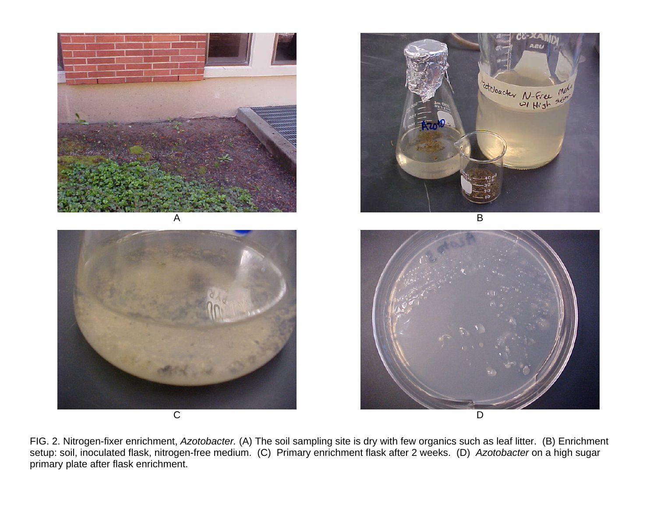





B



FIG. 2. Nitrogen-fixer enrichment, *Azotobacter.* (A) The soil sampling site is dry with few organics such as leaf litter. (B) Enrichment setup: soil, inoculated flask, nitrogen-free medium. (C) Primary enrichment flask after 2 weeks. (D) *Azotobacter* on a high sugar primary plate after flask enrichment.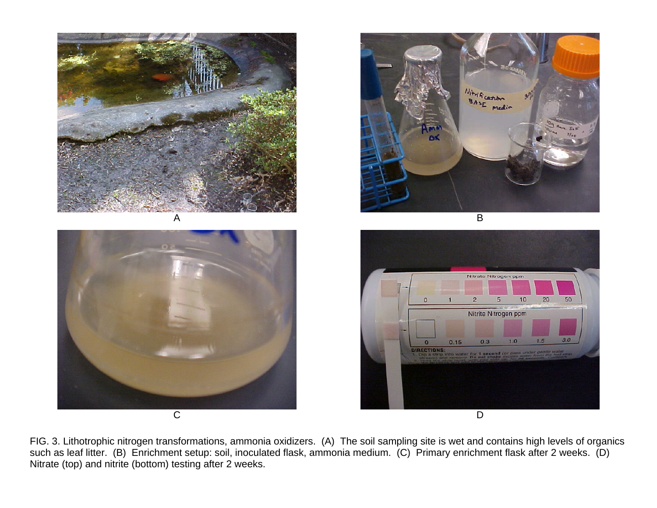







FIG. 3. Lithotrophic nitrogen transformations, ammonia oxidizers. (A) The soil sampling site is wet and contains high levels of organics such as leaf litter. (B) Enrichment setup: soil, inoculated flask, ammonia medium. (C) Primary enrichment flask after 2 weeks. (D) Nitrate (top) and nitrite (bottom) testing after 2 weeks.